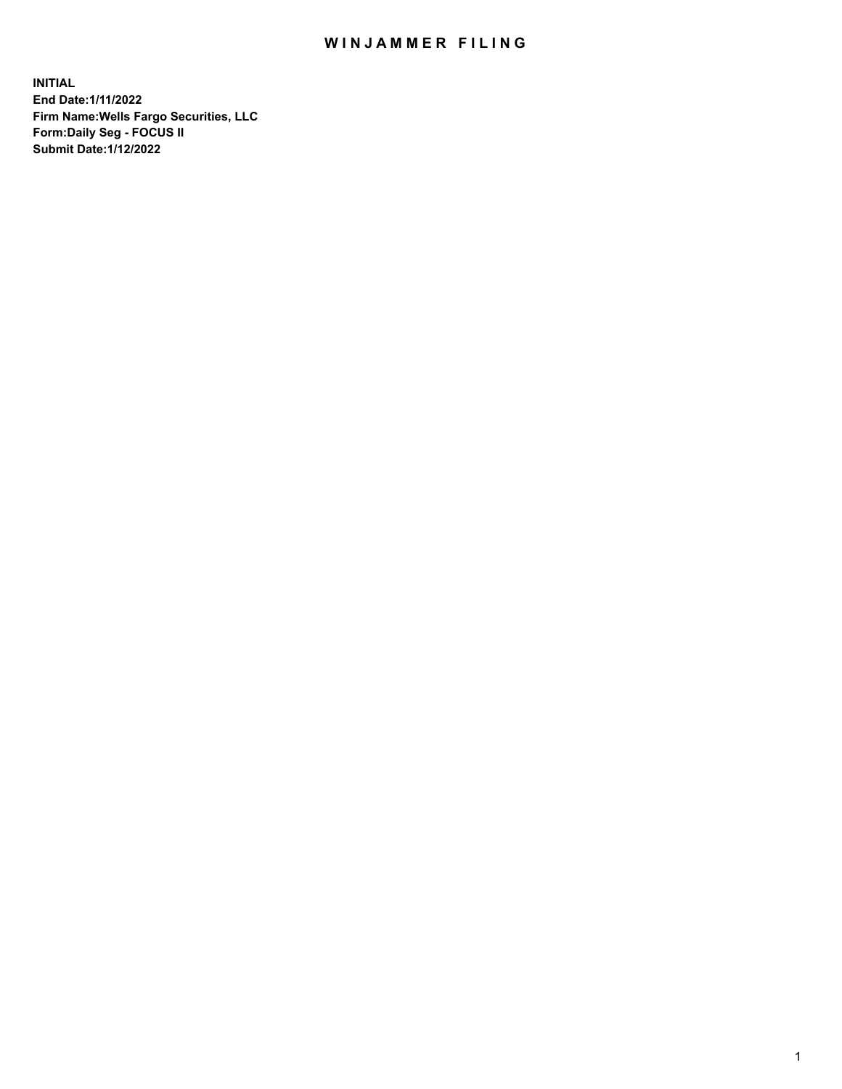## WIN JAMMER FILING

**INITIAL End Date:1/11/2022 Firm Name:Wells Fargo Securities, LLC Form:Daily Seg - FOCUS II Submit Date:1/12/2022**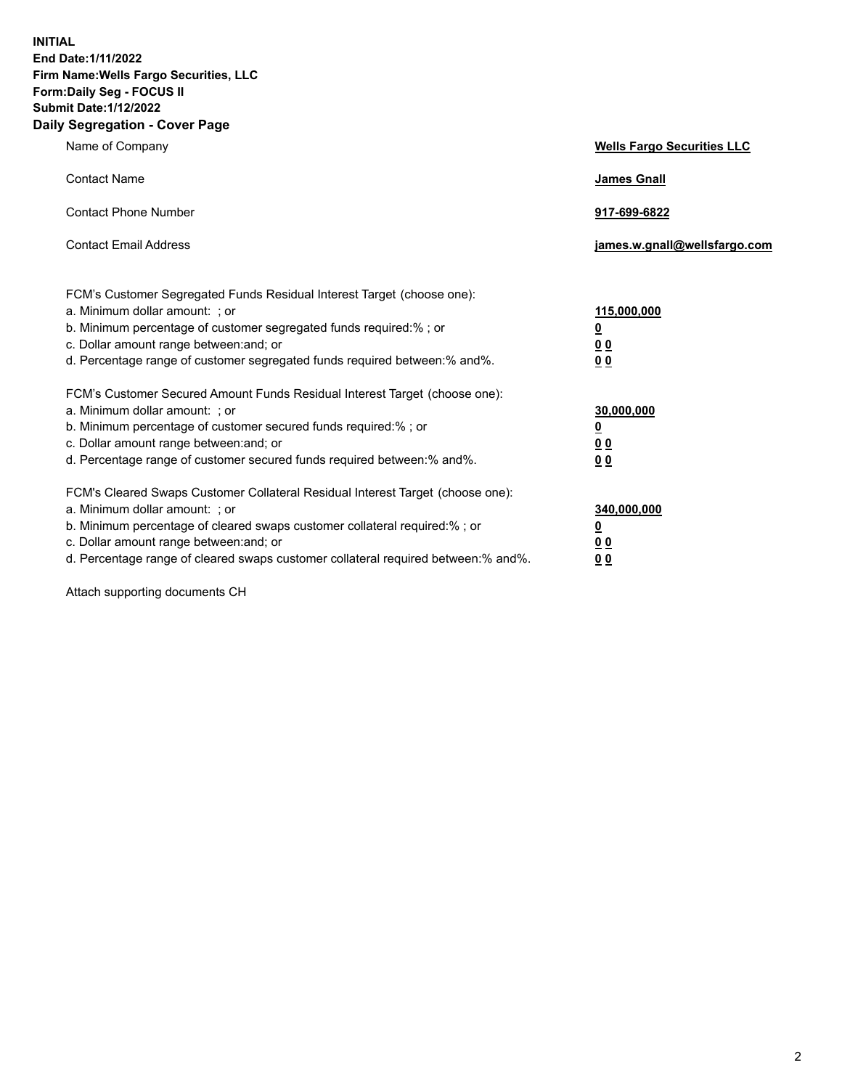**INITIAL End Date:1/11/2022 Firm Name:Wells Fargo Securities, LLC Form:Daily Seg - FOCUS II Submit Date:1/12/2022 Daily Segregation - Cover Page**

| Name of Company                                                                                                                                                                                                                                                                                                                | <b>Wells Fargo Securities LLC</b>                          |
|--------------------------------------------------------------------------------------------------------------------------------------------------------------------------------------------------------------------------------------------------------------------------------------------------------------------------------|------------------------------------------------------------|
| <b>Contact Name</b>                                                                                                                                                                                                                                                                                                            | <b>James Gnall</b>                                         |
| <b>Contact Phone Number</b>                                                                                                                                                                                                                                                                                                    | 917-699-6822                                               |
| <b>Contact Email Address</b>                                                                                                                                                                                                                                                                                                   | james.w.gnall@wellsfargo.com                               |
| FCM's Customer Segregated Funds Residual Interest Target (choose one):<br>a. Minimum dollar amount: ; or<br>b. Minimum percentage of customer segregated funds required:% ; or<br>c. Dollar amount range between: and; or<br>d. Percentage range of customer segregated funds required between:% and%.                         | 115,000,000<br><u>0</u><br>0 <sub>0</sub><br>00            |
| FCM's Customer Secured Amount Funds Residual Interest Target (choose one):<br>a. Minimum dollar amount: ; or<br>b. Minimum percentage of customer secured funds required:%; or<br>c. Dollar amount range between: and; or<br>d. Percentage range of customer secured funds required between:% and%.                            | 30,000,000<br><u>0</u><br>0 <sub>0</sub><br>0 <sub>0</sub> |
| FCM's Cleared Swaps Customer Collateral Residual Interest Target (choose one):<br>a. Minimum dollar amount: ; or<br>b. Minimum percentage of cleared swaps customer collateral required:% ; or<br>c. Dollar amount range between: and; or<br>d. Percentage range of cleared swaps customer collateral required between:% and%. | 340,000,000<br><u>0</u><br>00<br>00                        |

Attach supporting documents CH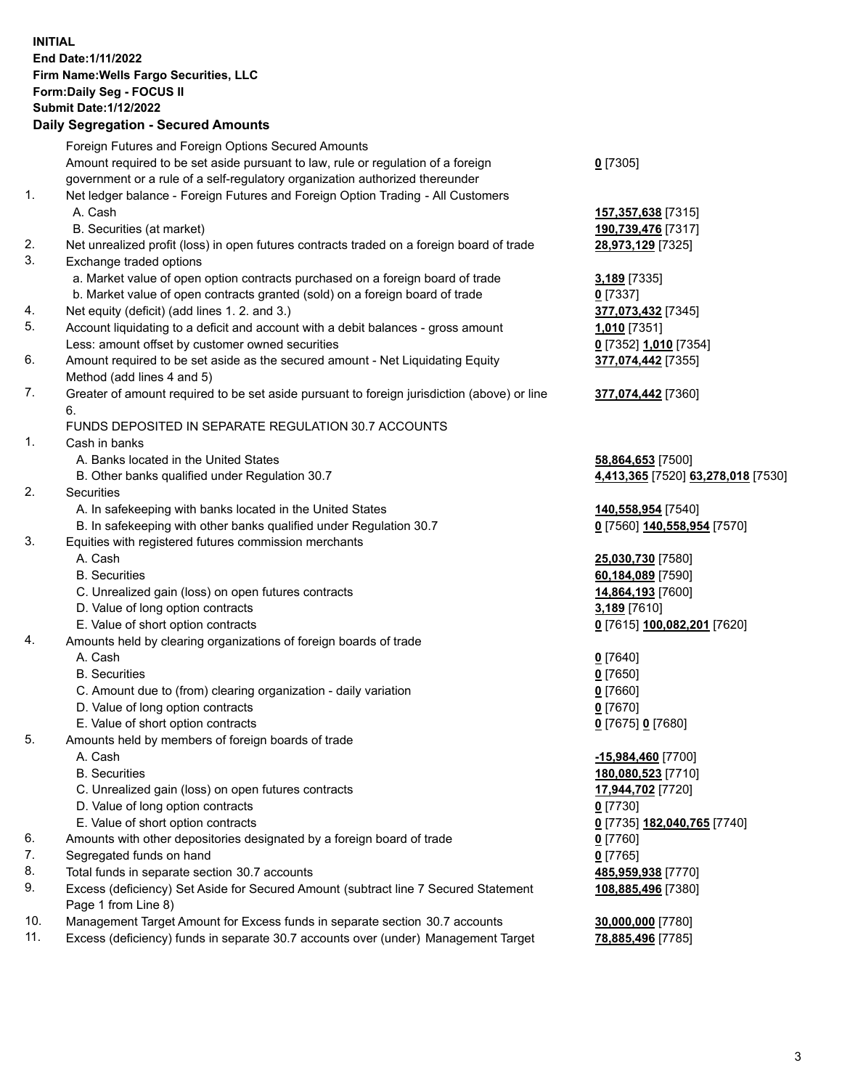**INITIAL End Date:1/11/2022 Firm Name:Wells Fargo Securities, LLC Form:Daily Seg - FOCUS II Submit Date:1/12/2022 Daily Segregation - Secured Amounts**

## Foreign Futures and Foreign Options Secured Amounts Amount required to be set aside pursuant to law, rule or regulation of a foreign government or a rule of a self-regulatory organization authorized thereunder

## 1. Net ledger balance - Foreign Futures and Foreign Option Trading - All Customers A. Cash **157,357,638** [7315]

- B. Securities (at market) **190,739,476** [7317]
- 2. Net unrealized profit (loss) in open futures contracts traded on a foreign board of trade **28,973,129** [7325]
- 3. Exchange traded options
	- a. Market value of open option contracts purchased on a foreign board of trade **3,189** [7335]
	- b. Market value of open contracts granted (sold) on a foreign board of trade **0** [7337]
- 4. Net equity (deficit) (add lines 1. 2. and 3.) **377,073,432** [7345]
- 5. Account liquidating to a deficit and account with a debit balances gross amount **1,010** [7351] Less: amount offset by customer owned securities **0** [7352] **1,010** [7354]
- 6. Amount required to be set aside as the secured amount Net Liquidating Equity Method (add lines 4 and 5)
- 7. Greater of amount required to be set aside pursuant to foreign jurisdiction (above) or line 6.

## FUNDS DEPOSITED IN SEPARATE REGULATION 30.7 ACCOUNTS

- 1. Cash in banks
	- A. Banks located in the United States **58,864,653** [7500]
	- B. Other banks qualified under Regulation 30.7 **4,413,365** [7520] **63,278,018** [7530]
- 2. Securities
	- A. In safekeeping with banks located in the United States **140,558,954** [7540]
	- B. In safekeeping with other banks qualified under Regulation 30.7 **0** [7560] **140,558,954** [7570]
- 3. Equities with registered futures commission merchants
	-
	-
	- C. Unrealized gain (loss) on open futures contracts **14,864,193** [7600]
	- D. Value of long option contracts **3,189** [7610]
	- E. Value of short option contracts **0** [7615] **100,082,201** [7620]
- 4. Amounts held by clearing organizations of foreign boards of trade
	- A. Cash **0** [7640]
	- B. Securities **0** [7650]
	- C. Amount due to (from) clearing organization daily variation **0** [7660]
	- D. Value of long option contracts **0** [7670]
	- E. Value of short option contracts **0** [7675] **0** [7680]
- 5. Amounts held by members of foreign boards of trade
	-
	-
	- C. Unrealized gain (loss) on open futures contracts **17,944,702** [7720]
	- D. Value of long option contracts **0** [7730]
	- E. Value of short option contracts **0** [7735] **182,040,765** [7740]
- 6. Amounts with other depositories designated by a foreign board of trade **0** [7760]
- 7. Segregated funds on hand **0** [7765]
- 8. Total funds in separate section 30.7 accounts **485,959,938** [7770]
- 9. Excess (deficiency) Set Aside for Secured Amount (subtract line 7 Secured Statement Page 1 from Line 8)
- 10. Management Target Amount for Excess funds in separate section 30.7 accounts **30,000,000** [7780]
- 11. Excess (deficiency) funds in separate 30.7 accounts over (under) Management Target **78,885,496** [7785]

**377,074,442** [7360]

**377,074,442** [7355]

**0** [7305]

 A. Cash **25,030,730** [7580] B. Securities **60,184,089** [7590]

 A. Cash **-15,984,460** [7700] B. Securities **180,080,523** [7710] **108,885,496** [7380]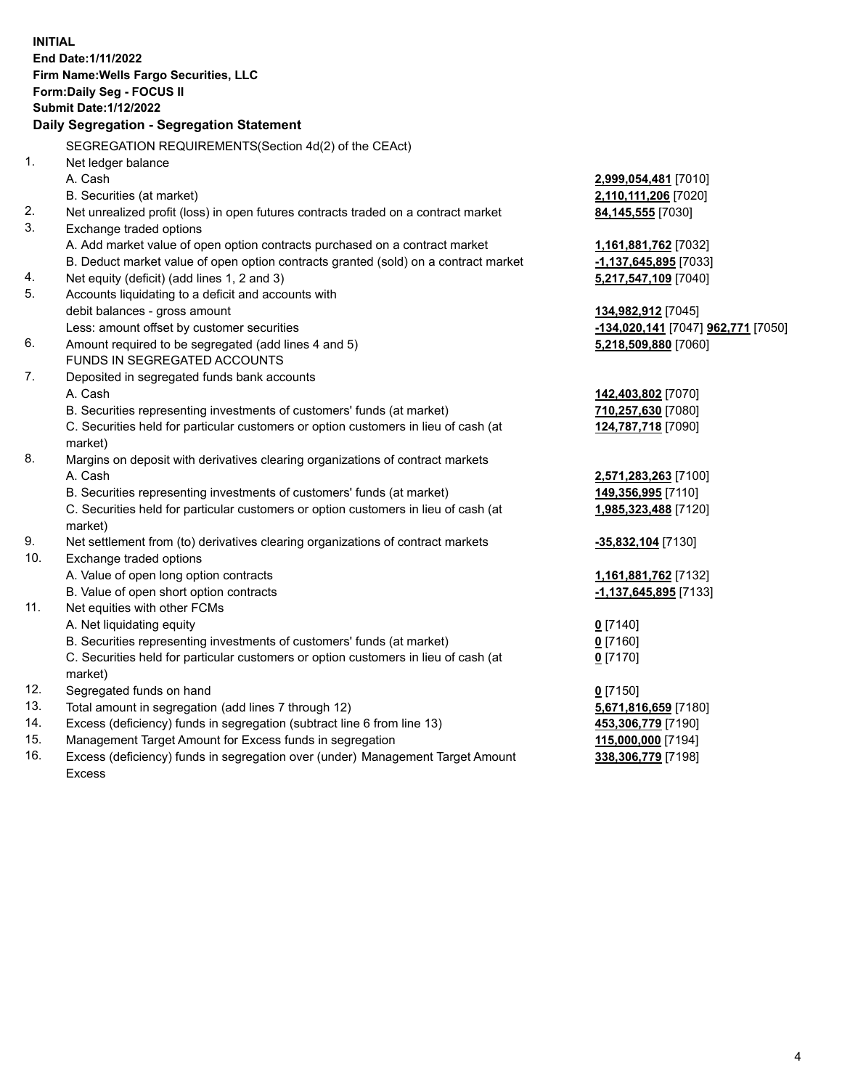**INITIAL End Date:1/11/2022 Firm Name:Wells Fargo Securities, LLC Form:Daily Seg - FOCUS II Submit Date:1/12/2022 Daily Segregation - Segregation Statement** SEGREGATION REQUIREMENTS(Section 4d(2) of the CEAct) 1. Net ledger balance A. Cash **2,999,054,481** [7010] B. Securities (at market) **2,110,111,206** [7020] 2. Net unrealized profit (loss) in open futures contracts traded on a contract market **84,145,555** [7030] 3. Exchange traded options A. Add market value of open option contracts purchased on a contract market **1,161,881,762** [7032] B. Deduct market value of open option contracts granted (sold) on a contract market **-1,137,645,895** [7033] 4. Net equity (deficit) (add lines 1, 2 and 3) **5,217,547,109** [7040] 5. Accounts liquidating to a deficit and accounts with debit balances - gross amount **134,982,912** [7045] Less: amount offset by customer securities **-134,020,141** [7047] **962,771** [7050] 6. Amount required to be segregated (add lines 4 and 5) **5,218,509,880** [7060] FUNDS IN SEGREGATED ACCOUNTS 7. Deposited in segregated funds bank accounts A. Cash **142,403,802** [7070] B. Securities representing investments of customers' funds (at market) **710,257,630** [7080] C. Securities held for particular customers or option customers in lieu of cash (at market) **124,787,718** [7090] 8. Margins on deposit with derivatives clearing organizations of contract markets A. Cash **2,571,283,263** [7100] B. Securities representing investments of customers' funds (at market) **149,356,995** [7110] C. Securities held for particular customers or option customers in lieu of cash (at market) **1,985,323,488** [7120] 9. Net settlement from (to) derivatives clearing organizations of contract markets **-35,832,104** [7130] 10. Exchange traded options A. Value of open long option contracts **1,161,881,762** [7132] B. Value of open short option contracts **-1,137,645,895** [7133] 11. Net equities with other FCMs A. Net liquidating equity **0** [7140] B. Securities representing investments of customers' funds (at market) **0** [7160] C. Securities held for particular customers or option customers in lieu of cash (at market) **0** [7170] 12. Segregated funds on hand **0** [7150] 13. Total amount in segregation (add lines 7 through 12) **5,671,816,659** [7180] 14. Excess (deficiency) funds in segregation (subtract line 6 from line 13) **453,306,779** [7190] 15. Management Target Amount for Excess funds in segregation **115,000,000** [7194] 16. Excess (deficiency) funds in segregation over (under) Management Target Amount **338,306,779** [7198]

Excess